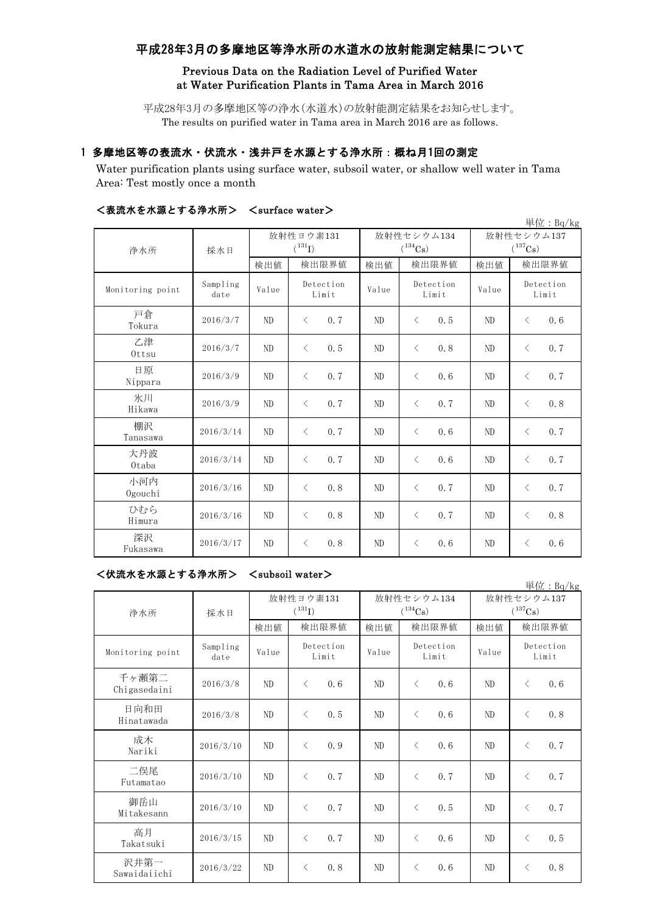# 平成28年3月の多摩地区等浄水所の水道水の放射能測定結果について

## Previous Data on the Radiation Level of Purified Water at Water Purification Plants in Tama Area in March 2016

平成28年3月の多摩地区等の浄水(水道水)の放射能測定結果をお知らせします。 The results on purified water in Tama area in March 2016 are as follows.

# 1 多摩地区等の表流水・伏流水・浅井戸を水源とする浄水所:概ね月1回の測定

Water purification plants using surface water, subsoil water, or shallow well water in Tama Area: Test mostly once a month

|                  |                  | 単位: Bq/kg      |                                   |                |                            |                            |                    |  |  |
|------------------|------------------|----------------|-----------------------------------|----------------|----------------------------|----------------------------|--------------------|--|--|
| 浄水所              | 採水日              |                | 放射性ヨウ素131<br>$({}^{131}\text{I})$ |                | 放射性セシウム134<br>$(^{134}Cs)$ | 放射性セシウム137<br>$(^{137}Cs)$ |                    |  |  |
|                  |                  | 検出値            | 検出限界値                             | 検出値            | 検出限界値                      | 検出値                        | 検出限界値              |  |  |
| Monitoring point | Sampling<br>date | Value          | Detection<br>Limit                | Value          | Detection<br>Limit         | Value                      | Detection<br>Limit |  |  |
| 戸倉<br>Tokura     | 2016/3/7         | ND             | $\langle$<br>0.7                  | ND             | $\langle$<br>0.5           | ND                         | 0, 6<br>$\lt$      |  |  |
| 乙津<br>Ottsu      | 2016/3/7         | ND             | $\langle$<br>0.5                  | ND             | $\langle$<br>0.8           | ND                         | 0.7<br>$\lt$       |  |  |
| 日原<br>Nippara    | 2016/3/9         | ND             | 0.7<br>$\lt$                      | ND             | $\langle$<br>0.6           | ND                         | $\lt$<br>0.7       |  |  |
| 氷川<br>Hikawa     | 2016/3/9         | ND             | 0.7<br>$\langle$                  | ND             | $\langle$<br>0, 7          | ND                         | 0.8<br>$\lt$       |  |  |
| 棚沢<br>Tanasawa   | 2016/3/14        | ND             | 0.7<br>$\lt$                      | ND             | $\langle$<br>0.6           | ND                         | 0.7<br>$\langle$   |  |  |
| 大丹波<br>0taba     | 2016/3/14        | ND             | 0.7<br>$\lt$                      | ND             | $\langle$<br>0.6           | ND                         | 0.7<br>$\lt$       |  |  |
| 小河内<br>Ogouchi   | 2016/3/16        | ND             | 0.8<br>$\langle$                  | N <sub>D</sub> | $\langle$<br>0.7           | ND                         | 0.7<br>$\lt$       |  |  |
| ていすいら<br>Himura  | 2016/3/16        | ND             | 0.8<br>$\lt$                      | ND             | 0.7<br>$\langle$           | ND                         | 0.8<br>$\lt$       |  |  |
| 深沢<br>Fukasawa   | 2016/3/17        | N <sub>D</sub> | 0.8<br>$\lt$                      | N <sub>D</sub> | 0, 6<br>$\langle$          | ND                         | 0.6<br>$\langle$   |  |  |

## <表流水を水源とする浄水所> <surface water>

#### <伏流水を水源とする浄水所> <subsoil water>

|                       |                  |                                   |                    |      |                            |                    |      |                            |                    | 単位: Bq/kg |
|-----------------------|------------------|-----------------------------------|--------------------|------|----------------------------|--------------------|------|----------------------------|--------------------|-----------|
| 浄水所                   | 採水日              | 放射性ヨウ素131<br>$({}^{131}\text{I})$ |                    |      | 放射性セシウム134<br>$(^{134}Cs)$ |                    |      | 放射性セシウム137<br>$(^{137}Cs)$ |                    |           |
|                       |                  | 検出値                               | 検出限界値              |      | 検出値                        | 検出限界値              |      | 検出値                        | 検出限界値              |           |
| Monitoring point      | Sampling<br>date | Value                             | Detection<br>Limit |      | Value                      | Detection<br>Limit |      | Value                      | Detection<br>Limit |           |
| 千ヶ瀬第二<br>Chigasedaini | 2016/3/8         | ND                                | $\lt$              | 0, 6 | ND                         | $\langle$          | 0.6  | ND                         | $\lt$              | 0, 6      |
| 日向和田<br>Hinatawada    | 2016/3/8         | ND                                | $\lt$              | 0, 5 | ND                         | $\langle$          | 0, 6 | ND                         | $\lt$              | 0.8       |
| 成木<br>Nariki          | 2016/3/10        | ND                                | $\langle$          | 0.9  | ND                         | $\langle$          | 0, 6 | ND                         | $\langle$          | 0, 7      |
| 二俣尾<br>Futamatao      | 2016/3/10        | ND                                | $\langle$          | 0.7  | ND                         | $\langle$          | 0.7  | ND                         | $\langle$          | 0, 7      |
| 御岳山<br>Mitakesann     | 2016/3/10        | ND                                | $\langle$          | 0.7  | ND                         | $\lt$              | 0, 5 | ND                         | $\langle$          | 0, 7      |
| 高月<br>Takatsuki       | 2016/3/15        | ND                                | $\langle$          | 0.7  | ND                         | $\lt$              | 0.6  | ND                         | $\langle$          | 0, 5      |
| 沢井第一<br>Sawaidaiichi  | 2016/3/22        | ND                                | $\langle$          | 0.8  | ND                         | $\lt$              | 0.6  | ND                         | $\lt$              | 0.8       |